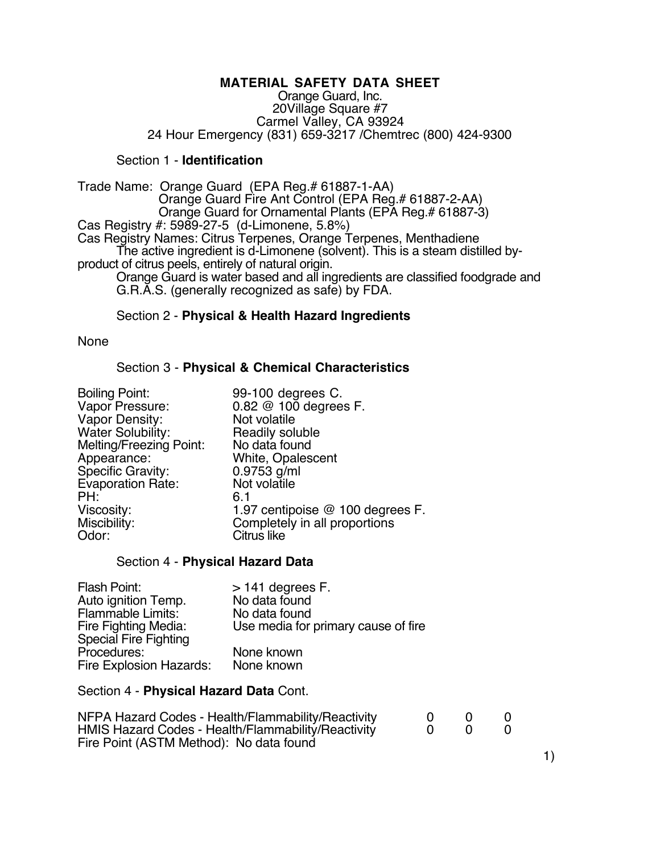# **MATERIAL SAFETY DATA SHEET**

Orange Guard, Inc. 20Village Square #7 Carmel Valley, CA 93924 24 Hour Emergency (831) 659-3217 /Chemtrec (800) 424-9300

# Section 1 - **Identification**

Trade Name: Orange Guard (EPA Reg.# 61887-1-AA) Orange Guard Fire Ant Control (EPA Reg.# 61887-2-AA) Orange Guard for Ornamental Plants (EPA Reg.# 61887-3) Cas Registry #: 5989-27-5 (d-Limonene, 5.8%) Cas Registry Names: Citrus Terpenes, Orange Terpenes, Menthadiene The active ingredient is d-Limonene (solvent). This is a steam distilled byproduct of citrus peels, entirely of natural origin. Orange Guard is water based and all ingredients are classified foodgrade and G.R.A.S. (generally recognized as safe) by FDA.

## Section 2 - **Physical & Health Hazard Ingredients**

None

## Section 3 - **Physical & Chemical Characteristics**

| <b>Boiling Point:</b>    | 99-100 degrees C.                |
|--------------------------|----------------------------------|
| Vapor Pressure:          | 0.82 @ 100 degrees F.            |
| Vapor Density:           | Not volatile                     |
| <b>Water Solubility:</b> | Readily soluble                  |
| Melting/Freezing Point:  | No data found                    |
| Appearance:              | White, Opalescent                |
| Specific Gravity:        | $0.9753$ g/ml                    |
| Evaporation Rate:        | Not volatile                     |
| PH:                      | 6.1                              |
| Viscosity:               | 1.97 centipoise @ 100 degrees F. |
| Miscibility:             | Completely in all proportions    |
| Odor:                    | Citrus like                      |

#### Section 4 - **Physical Hazard Data**

| Flash Point:            | $>$ 141 degrees F.                  |
|-------------------------|-------------------------------------|
| Auto ignition Temp.     | No data found                       |
| Flammable Limits:       | No data found                       |
| Fire Fighting Media:    | Use media for primary cause of fire |
| Special Fire Fighting   |                                     |
| Procedures:             | None known                          |
| Fire Explosion Hazards: | None known                          |

Section 4 - **Physical Hazard Data** Cont.

| NFPA Hazard Codes - Health/Flammability/Reactivity |  |  |
|----------------------------------------------------|--|--|
| HMIS Hazard Codes - Health/Flammability/Reactivity |  |  |
| Fire Point (ASTM Method): No data found            |  |  |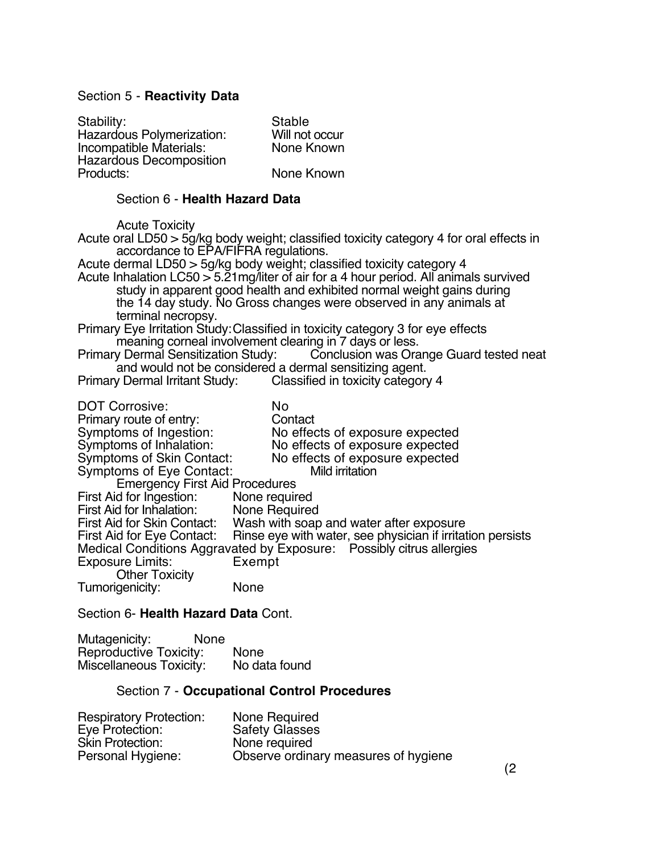# Section 5 - **Reactivity Data**

Stability: Stable<br>
Hazardous Polymerization: Will not occur Hazardous Polymerization: Will not occur<br>
Incompatible Materials: None Known Incompatible Materials: Hazardous Decomposition None Known

# Section 6 - **Health Hazard Data**

Acute Toxicity

Acute oral LD50 > 5g/kg body weight; classified toxicity category 4 for oral effects in accordance to EPA/FIFRA regulations.

Acute dermal LD50 > 5g/kg body weight; classified toxicity category 4 Acute Inhalation LC50 > 5.21mg/liter of air for a 4 hour period. All animals survived study in apparent good health and exhibited normal weight gains during the 14 day study. No Gross changes were observed in any animals at terminal necropsy.

Primary Eye Irritation Study:Classified in toxicity category 3 for eye effects meaning corneal involvement clearing in 7 days or less.<br>Primary Dermal Sensitization Study: Conclusion was Ora

Conclusion was Orange Guard tested neat and would not be considered a dermal sensitizing agent.

Primary Dermal Irritant Study: Classified in toxicity category 4

| No                                                                   |
|----------------------------------------------------------------------|
| Contact                                                              |
| No effects of exposure expected                                      |
| No effects of exposure expected                                      |
| No effects of exposure expected<br>Symptoms of Skin Contact:         |
| Mild irritation<br>Symptoms of Eye Contact:                          |
| <b>Emergency First Aid Procedures</b>                                |
| None required                                                        |
| None Required                                                        |
| First Aid for Skin Contact: Wash with soap and water after exposure  |
| Rinse eye with water, see physician if irritation persists           |
| Medical Conditions Aggravated by Exposure: Possibly citrus allergies |
| Exempt                                                               |
|                                                                      |
| None                                                                 |
|                                                                      |

#### Section 6- **Health Hazard Data** Cont.

Mutagenicity: None Reproductive Toxicity: None<br>
Miscellaneous Toxicity: No data found Miscellaneous Toxicity:

#### Section 7 - **Occupational Control Procedures**

| <b>Respiratory Protection:</b> | None Required                        |
|--------------------------------|--------------------------------------|
| Eye Protection:                | <b>Safety Glasses</b>                |
| <b>Skin Protection:</b>        | None required                        |
| Personal Hygiene:              | Observe ordinary measures of hygiene |